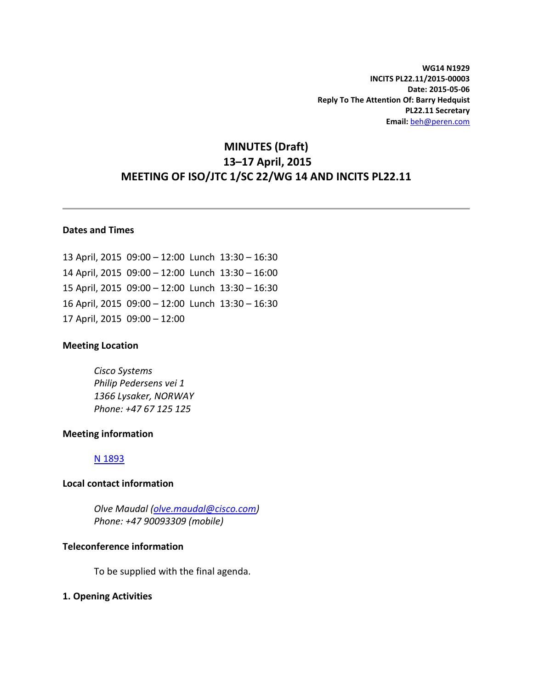**WG14 N1929 INCITS PL22.11/2015-00003 Date: 2015-05-06 Reply To The Attention Of: Barry Hedquist PL22.11 Secretary Email:** [beh@peren.com](mailto:beh@peren.com)

# **MINUTES (Draft) 13–17 April, 2015 MEETING OF ISO/JTC 1/SC 22/WG 14 AND INCITS PL22.11**

## **Dates and Times**

 April, 2015 09:00 – 12:00 Lunch 13:30 – 16:30 April, 2015 09:00 – 12:00 Lunch 13:30 – 16:00 April, 2015 09:00 – 12:00 Lunch 13:30 – 16:30 April, 2015 09:00 – 12:00 Lunch 13:30 – 16:30 April, 2015 09:00 – 12:00

#### **Meeting Location**

*Cisco Systems Philip Pedersens vei 1 1366 Lysaker, NORWAY Phone: +47 67 125 125* 

#### **Meeting information**

#### [N 1893](http://www.open-std.org/jtc1/sc22/wg14/www/docs/n1893.htm)

#### **Local contact information**

*Olve Maudal [\(olve.maudal@cisco.com\)](mailto:olve.maudal@cisco.com) Phone: +47 90093309 (mobile)* 

## **Teleconference information**

To be supplied with the final agenda.

#### **1. Opening Activities**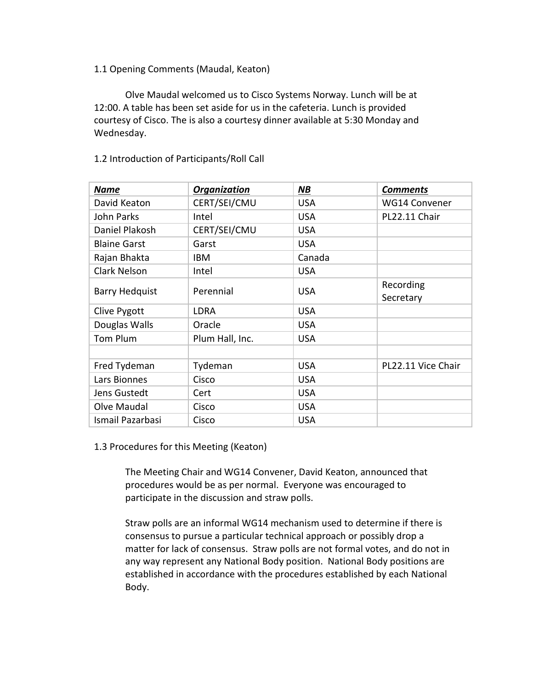## 1.1 Opening Comments (Maudal, Keaton)

Olve Maudal welcomed us to Cisco Systems Norway. Lunch will be at 12:00. A table has been set aside for us in the cafeteria. Lunch is provided courtesy of Cisco. The is also a courtesy dinner available at 5:30 Monday and Wednesday.

| <b>Name</b>           | Organization    | <b>NB</b>  | <b>Comments</b>      |
|-----------------------|-----------------|------------|----------------------|
| David Keaton          | CERT/SEI/CMU    | <b>USA</b> | <b>WG14 Convener</b> |
| John Parks            | Intel           | <b>USA</b> | PL22.11 Chair        |
| Daniel Plakosh        | CERT/SEI/CMU    | <b>USA</b> |                      |
| <b>Blaine Garst</b>   | Garst           | <b>USA</b> |                      |
| Rajan Bhakta          | IBM             | Canada     |                      |
| <b>Clark Nelson</b>   | Intel           | <b>USA</b> |                      |
| <b>Barry Hedquist</b> | Perennial       | <b>USA</b> | Recording            |
|                       |                 |            | Secretary            |
| Clive Pygott          | <b>LDRA</b>     | <b>USA</b> |                      |
| Douglas Walls         | Oracle          | <b>USA</b> |                      |
| Tom Plum              | Plum Hall, Inc. | <b>USA</b> |                      |
|                       |                 |            |                      |
| Fred Tydeman          | Tydeman         | <b>USA</b> | PL22.11 Vice Chair   |
| Lars Bionnes          | Cisco           | <b>USA</b> |                      |
| Jens Gustedt          | Cert            | <b>USA</b> |                      |
| Olve Maudal           | Cisco           | <b>USA</b> |                      |
| Ismail Pazarbasi      | Cisco           | <b>USA</b> |                      |

## 1.2 Introduction of Participants/Roll Call

#### 1.3 Procedures for this Meeting (Keaton)

The Meeting Chair and WG14 Convener, David Keaton, announced that procedures would be as per normal. Everyone was encouraged to participate in the discussion and straw polls.

Straw polls are an informal WG14 mechanism used to determine if there is consensus to pursue a particular technical approach or possibly drop a matter for lack of consensus. Straw polls are not formal votes, and do not in any way represent any National Body position. National Body positions are established in accordance with the procedures established by each National Body.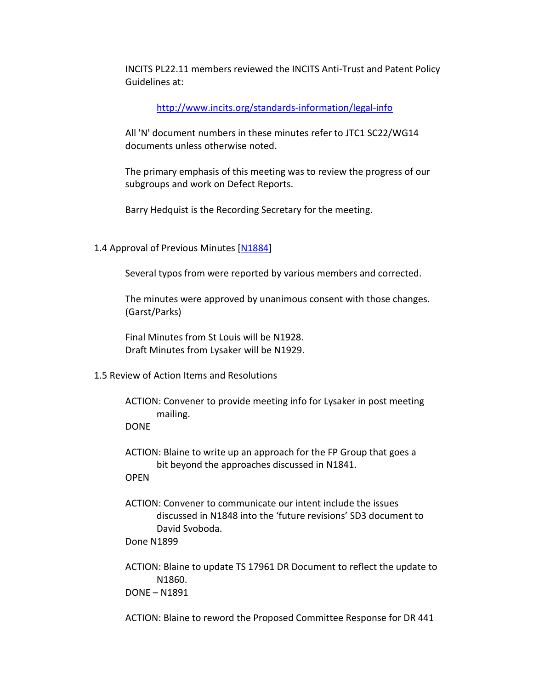INCITS PL22.11 members reviewed the INCITS Anti-Trust and Patent Policy Guidelines at:

<http://www.incits.org/standards-information/legal-info>

All 'N' document numbers in these minutes refer to JTC1 SC22/WG14 documents unless otherwise noted.

The primary emphasis of this meeting was to review the progress of our subgroups and work on Defect Reports.

Barry Hedquist is the Recording Secretary for the meeting.

1.4 Approval of Previous Minutes [\[N1884\]](http://www.open-std.org/jtc1/sc22/wg14/www/docs/n1884.pdf)

Several typos from were reported by various members and corrected.

The minutes were approved by unanimous consent with those changes. (Garst/Parks)

Final Minutes from St Louis will be N1928. Draft Minutes from Lysaker will be N1929.

- 1.5 Review of Action Items and Resolutions
	- ACTION: Convener to provide meeting info for Lysaker in post meeting mailing.

DONE

ACTION: Blaine to write up an approach for the FP Group that goes a bit beyond the approaches discussed in N1841.

**OPEN** 

ACTION: Convener to communicate our intent include the issues discussed in N1848 into the 'future revisions' SD3 document to David Svoboda.

Done N1899

ACTION: Blaine to update TS 17961 DR Document to reflect the update to N1860.

DONE – N1891

ACTION: Blaine to reword the Proposed Committee Response for DR 441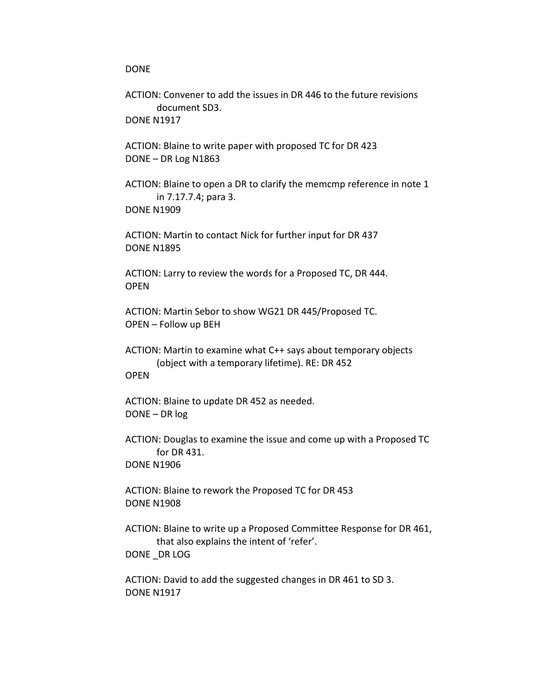#### DONE

ACTION: Convener to add the issues in DR 446 to the future revisions document SD3. DONE N1917

ACTION: Blaine to write paper with proposed TC for DR 423 DONE – DR Log N1863

ACTION: Blaine to open a DR to clarify the memcmp reference in note 1 in 7.17.7.4; para 3. DONE N1909

ACTION: Martin to contact Nick for further input for DR 437 DONE N1895

ACTION: Larry to review the words for a Proposed TC, DR 444. OPEN

ACTION: Martin Sebor to show WG21 DR 445/Proposed TC. OPEN – Follow up BEH

ACTION: Martin to examine what C++ says about temporary objects (object with a temporary lifetime). RE: DR 452 **OPFN** 

ACTION: Blaine to update DR 452 as needed. DONE – DR log

ACTION: Douglas to examine the issue and come up with a Proposed TC for DR 431. DONE N1906

ACTION: Blaine to rework the Proposed TC for DR 453 DONE N1908

ACTION: Blaine to write up a Proposed Committee Response for DR 461, that also explains the intent of 'refer'. DONE DR LOG

ACTION: David to add the suggested changes in DR 461 to SD 3. DONE N1917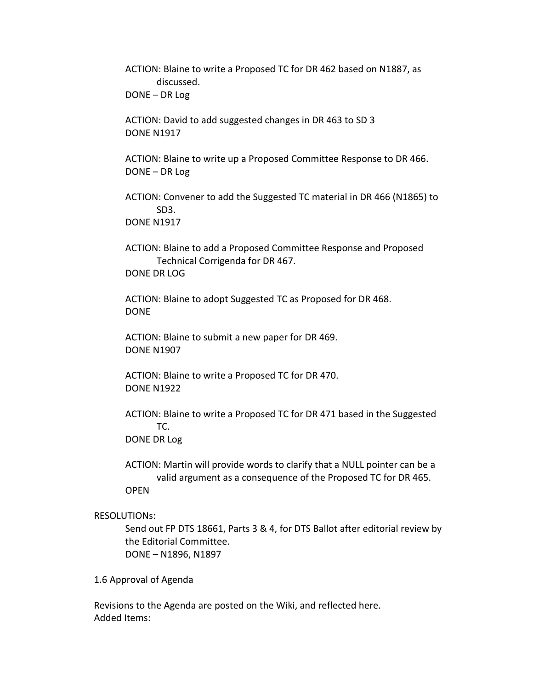ACTION: Blaine to write a Proposed TC for DR 462 based on N1887, as discussed. DONE – DR Log

ACTION: David to add suggested changes in DR 463 to SD 3 DONE N1917

ACTION: Blaine to write up a Proposed Committee Response to DR 466. DONE – DR Log

ACTION: Convener to add the Suggested TC material in DR 466 (N1865) to SD3. DONE N1917

ACTION: Blaine to add a Proposed Committee Response and Proposed Technical Corrigenda for DR 467. DONE DR LOG

ACTION: Blaine to adopt Suggested TC as Proposed for DR 468. DONE

ACTION: Blaine to submit a new paper for DR 469. DONE N1907

ACTION: Blaine to write a Proposed TC for DR 470. DONE N1922

ACTION: Blaine to write a Proposed TC for DR 471 based in the Suggested TC.

DONE DR Log

ACTION: Martin will provide words to clarify that a NULL pointer can be a valid argument as a consequence of the Proposed TC for DR 465. OPEN

RESOLUTIONs:

Send out FP DTS 18661, Parts 3 & 4, for DTS Ballot after editorial review by the Editorial Committee. DONE – N1896, N1897

1.6 Approval of Agenda

Revisions to the Agenda are posted on the Wiki, and reflected here. Added Items: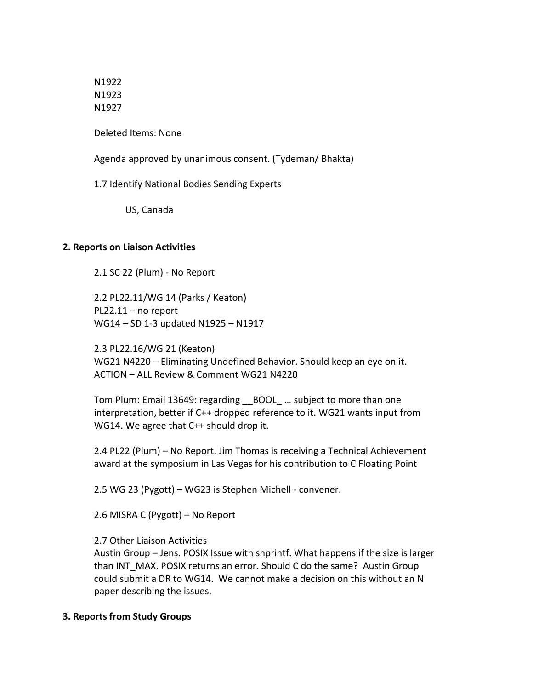N1922 N1923 N1927

Deleted Items: None

Agenda approved by unanimous consent. (Tydeman/ Bhakta)

1.7 Identify National Bodies Sending Experts

US, Canada

## **2. Reports on Liaison Activities**

2.1 SC 22 (Plum) - No Report

2.2 PL22.11/WG 14 (Parks / Keaton) PL22.11 – no report WG14 – SD 1-3 updated N1925 – N1917

2.3 PL22.16/WG 21 (Keaton) WG21 N4220 – Eliminating Undefined Behavior. Should keep an eye on it. ACTION – ALL Review & Comment WG21 N4220

Tom Plum: Email 13649: regarding \_\_BOOL\_ … subject to more than one interpretation, better if C++ dropped reference to it. WG21 wants input from WG14. We agree that C++ should drop it.

2.4 PL22 (Plum) – No Report. Jim Thomas is receiving a Technical Achievement award at the symposium in Las Vegas for his contribution to C Floating Point

2.5 WG 23 (Pygott) – WG23 is Stephen Michell - convener.

2.6 MISRA C (Pygott) – No Report

#### 2.7 Other Liaison Activities

Austin Group – Jens. POSIX Issue with snprintf. What happens if the size is larger than INT\_MAX. POSIX returns an error. Should C do the same? Austin Group could submit a DR to WG14. We cannot make a decision on this without an N paper describing the issues.

## **3. Reports from Study Groups**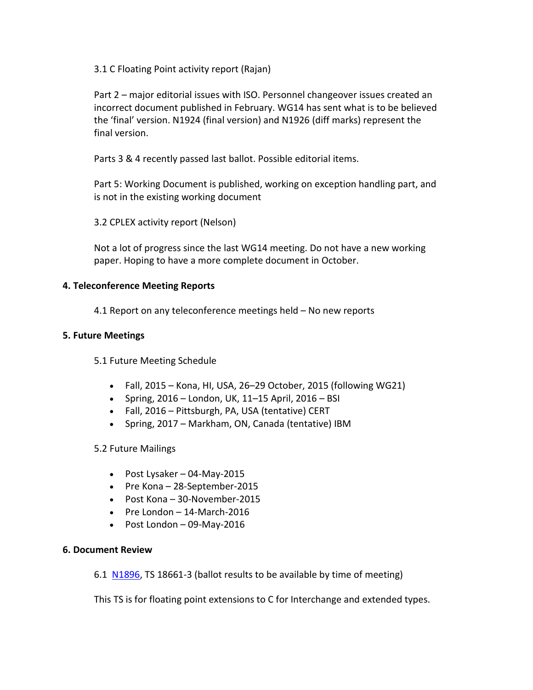3.1 C Floating Point activity report (Rajan)

Part 2 – major editorial issues with ISO. Personnel changeover issues created an incorrect document published in February. WG14 has sent what is to be believed the 'final' version. N1924 (final version) and N1926 (diff marks) represent the final version.

Parts 3 & 4 recently passed last ballot. Possible editorial items.

Part 5: Working Document is published, working on exception handling part, and is not in the existing working document

3.2 CPLEX activity report (Nelson)

Not a lot of progress since the last WG14 meeting. Do not have a new working paper. Hoping to have a more complete document in October.

## **4. Teleconference Meeting Reports**

4.1 Report on any teleconference meetings held – No new reports

## **5. Future Meetings**

5.1 Future Meeting Schedule

- Fall,  $2015$  Kona, HI, USA, 26–29 October, 2015 (following WG21)
- Spring, 2016 London, UK, 11–15 April, 2016 BSI
- Fall, 2016 Pittsburgh, PA, USA (tentative) CERT
- Spring, 2017 Markham, ON, Canada (tentative) IBM

## 5.2 Future Mailings

- Post Lysaker 04-May-2015
- Pre Kona 28-September-2015
- Post Kona 30-November-2015
- Pre London 14-March-2016
- Post London 09-May-2016

## **6. Document Review**

6.1 [N1896,](http://www.open-std.org/jtc1/sc22/wg14/www/docs/n1896.pdf) TS 18661-3 (ballot results to be available by time of meeting)

This TS is for floating point extensions to C for Interchange and extended types.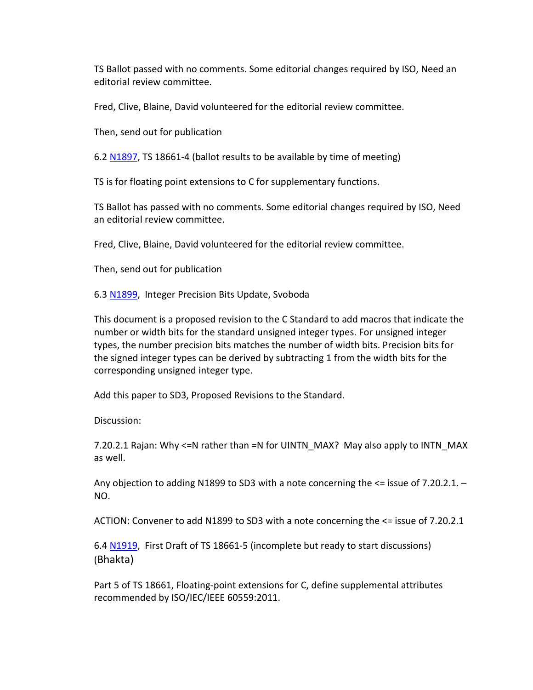TS Ballot passed with no comments. Some editorial changes required by ISO, Need an editorial review committee.

Fred, Clive, Blaine, David volunteered for the editorial review committee.

Then, send out for publication

6.2 [N1897,](http://www.open-std.org/jtc1/sc22/wg14/www/docs/n1897.pdf) TS 18661-4 (ballot results to be available by time of meeting)

TS is for floating point extensions to C for supplementary functions.

TS Ballot has passed with no comments. Some editorial changes required by ISO, Need an editorial review committee.

Fred, Clive, Blaine, David volunteered for the editorial review committee.

Then, send out for publication

6.3 [N1899,](http://www.open-std.org/jtc1/sc22/wg14/www/docs/n1899.pdf) Integer Precision Bits Update, Svoboda

This document is a proposed revision to the C Standard to add macros that indicate the number or width bits for the standard unsigned integer types. For unsigned integer types, the number precision bits matches the number of width bits. Precision bits for the signed integer types can be derived by subtracting 1 from the width bits for the corresponding unsigned integer type.

Add this paper to SD3, Proposed Revisions to the Standard.

Discussion:

7.20.2.1 Rajan: Why <=N rather than =N for UINTN\_MAX? May also apply to INTN\_MAX as well.

Any objection to adding N1899 to SD3 with a note concerning the <= issue of 7.20.2.1. – NO.

ACTION: Convener to add N1899 to SD3 with a note concerning the <= issue of 7.20.2.1

6.4 [N1919,](http://www.open-std.org/jtc1/sc22/wg14/www/docs/n1919.pdf) First Draft of TS 18661-5 (incomplete but ready to start discussions) (Bhakta)

Part 5 of TS 18661, Floating-point extensions for C, define supplemental attributes recommended by ISO/IEC/IEEE 60559:2011.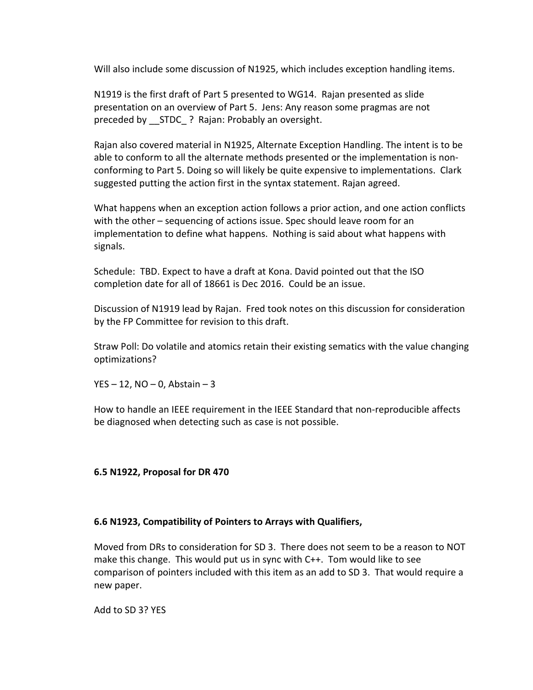Will also include some discussion of N1925, which includes exception handling items.

N1919 is the first draft of Part 5 presented to WG14. Rajan presented as slide presentation on an overview of Part 5. Jens: Any reason some pragmas are not preceded by STDC ? Rajan: Probably an oversight.

Rajan also covered material in N1925, Alternate Exception Handling. The intent is to be able to conform to all the alternate methods presented or the implementation is nonconforming to Part 5. Doing so will likely be quite expensive to implementations. Clark suggested putting the action first in the syntax statement. Rajan agreed.

What happens when an exception action follows a prior action, and one action conflicts with the other – sequencing of actions issue. Spec should leave room for an implementation to define what happens. Nothing is said about what happens with signals.

Schedule: TBD. Expect to have a draft at Kona. David pointed out that the ISO completion date for all of 18661 is Dec 2016. Could be an issue.

Discussion of N1919 lead by Rajan. Fred took notes on this discussion for consideration by the FP Committee for revision to this draft.

Straw Poll: Do volatile and atomics retain their existing sematics with the value changing optimizations?

YES  $-12$ , NO  $-0$ , Abstain  $-3$ 

How to handle an IEEE requirement in the IEEE Standard that non-reproducible affects be diagnosed when detecting such as case is not possible.

## **6.5 N1922, Proposal for DR 470**

#### **6.6 N1923, Compatibility of Pointers to Arrays with Qualifiers,**

Moved from DRs to consideration for SD 3. There does not seem to be a reason to NOT make this change. This would put us in sync with C++. Tom would like to see comparison of pointers included with this item as an add to SD 3. That would require a new paper.

Add to SD 3? YES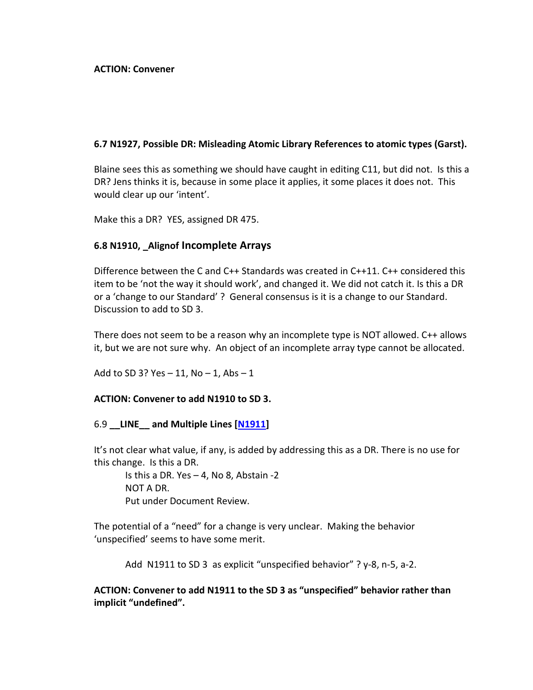### **ACTION: Convener**

## **6.7 N1927, Possible DR: Misleading Atomic Library References to atomic types (Garst).**

Blaine sees this as something we should have caught in editing C11, but did not. Is this a DR? Jens thinks it is, because in some place it applies, it some places it does not. This would clear up our 'intent'.

Make this a DR? YES, assigned DR 475.

## **6.8 N1910, \_Alignof Incomplete Arrays**

Difference between the C and C++ Standards was created in C++11. C++ considered this item to be 'not the way it should work', and changed it. We did not catch it. Is this a DR or a 'change to our Standard' ? General consensus is it is a change to our Standard. Discussion to add to SD 3.

There does not seem to be a reason why an incomplete type is NOT allowed. C++ allows it, but we are not sure why. An object of an incomplete array type cannot be allocated.

Add to SD 3? Yes  $-11$ , No  $-1$ , Abs  $-1$ 

#### **ACTION: Convener to add N1910 to SD 3.**

#### 6.9 **\_\_LINE\_\_ and Multiple Lines [\[N1911\]](http://www.open-std.org/jtc1/sc22/wg14/www/docs/n1911.htm)**

It's not clear what value, if any, is added by addressing this as a DR. There is no use for this change. Is this a DR.

Is this a DR. Yes – 4, No 8, Abstain -2 NOT A DR. Put under Document Review.

The potential of a "need" for a change is very unclear. Making the behavior 'unspecified' seems to have some merit.

Add N1911 to SD 3 as explicit "unspecified behavior" ? y-8, n-5, a-2.

**ACTION: Convener to add N1911 to the SD 3 as "unspecified" behavior rather than implicit "undefined".**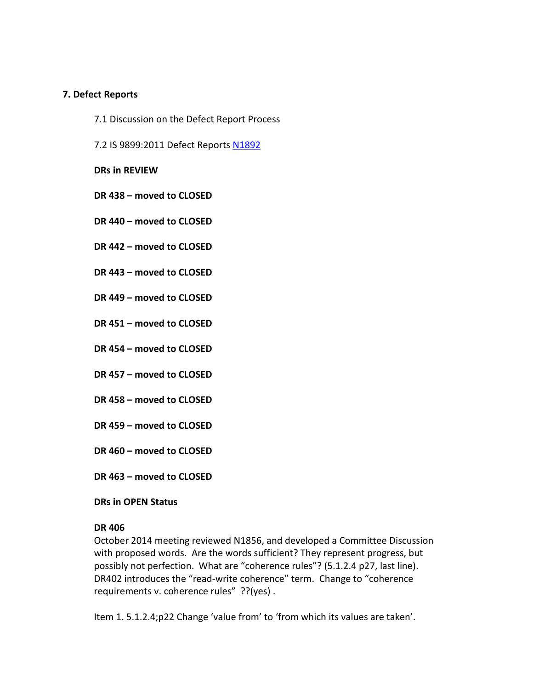### **7. Defect Reports**

- 7.1 Discussion on the Defect Report Process
- 7.2 IS 9899:2011 Defect Reports [N1892](http://www.open-std.org/jtc1/sc22/wg14/www/docs/n1892.htm)

**DRs in REVIEW**

- **DR 438 – moved to CLOSED**
- **DR 440 – moved to CLOSED**
- **DR 442 – moved to CLOSED**
- **DR 443 – moved to CLOSED**
- **DR 449 – moved to CLOSED**
- **DR 451 – moved to CLOSED**
- **DR 454 – moved to CLOSED**
- **DR 457 – moved to CLOSED**
- **DR 458 – moved to CLOSED**
- **DR 459 – moved to CLOSED**
- **DR 460 – moved to CLOSED**
- **DR 463 – moved to CLOSED**

#### **DRs in OPEN Status**

#### **DR 406**

October 2014 meeting reviewed N1856, and developed a Committee Discussion with proposed words. Are the words sufficient? They represent progress, but possibly not perfection. What are "coherence rules"? (5.1.2.4 p27, last line). DR402 introduces the "read-write coherence" term. Change to "coherence requirements v. coherence rules" ??(yes).

Item 1. 5.1.2.4;p22 Change 'value from' to 'from which its values are taken'.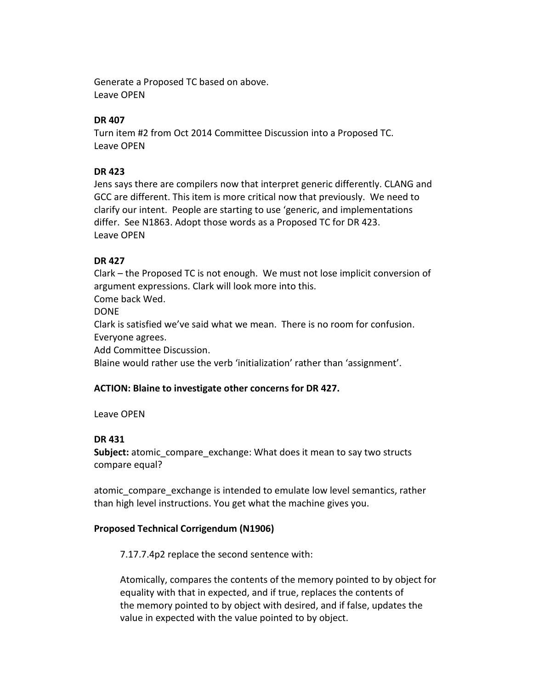Generate a Proposed TC based on above. Leave OPEN

## **DR 407**

Turn item #2 from Oct 2014 Committee Discussion into a Proposed TC. Leave OPEN

## **DR 423**

Jens says there are compilers now that interpret generic differently. CLANG and GCC are different. This item is more critical now that previously. We need to clarify our intent. People are starting to use 'generic, and implementations differ. See N1863. Adopt those words as a Proposed TC for DR 423. Leave OPEN

## **DR 427**

Clark – the Proposed TC is not enough. We must not lose implicit conversion of argument expressions. Clark will look more into this. Come back Wed. DONE Clark is satisfied we've said what we mean. There is no room for confusion. Everyone agrees. Add Committee Discussion. Blaine would rather use the verb 'initialization' rather than 'assignment'.

## **ACTION: Blaine to investigate other concerns for DR 427.**

## Leave OPEN

## **DR 431**

**Subject:** atomic compare exchange: What does it mean to say two structs compare equal?

atomic\_compare\_exchange is intended to emulate low level semantics, rather than high level instructions. You get what the machine gives you.

## **Proposed Technical Corrigendum (N1906)**

7.17.7.4p2 replace the second sentence with:

Atomically, compares the contents of the memory pointed to by object for equality with that in expected, and if true, replaces the contents of the memory pointed to by object with desired, and if false, updates the value in expected with the value pointed to by object.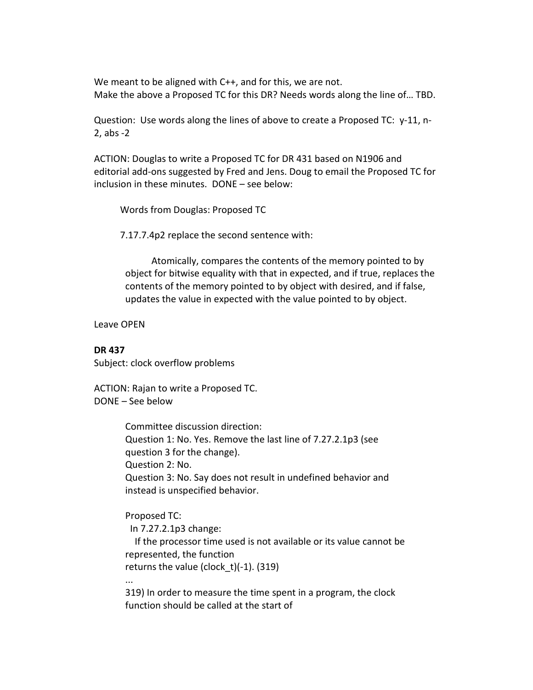We meant to be aligned with C++, and for this, we are not. Make the above a Proposed TC for this DR? Needs words along the line of… TBD.

Question: Use words along the lines of above to create a Proposed TC: y-11, n-2, abs -2

ACTION: Douglas to write a Proposed TC for DR 431 based on N1906 and editorial add-ons suggested by Fred and Jens. Doug to email the Proposed TC for inclusion in these minutes. DONE – see below:

Words from Douglas: Proposed TC

7.17.7.4p2 replace the second sentence with:

Atomically, compares the contents of the memory pointed to by object for bitwise equality with that in expected, and if true, replaces the contents of the memory pointed to by object with desired, and if false, updates the value in expected with the value pointed to by object.

Leave OPEN

#### **DR 437**

Subject: clock overflow problems

ACTION: Rajan to write a Proposed TC. DONE – See below

> Committee discussion direction: Question 1: No. Yes. Remove the last line of 7.27.2.1p3 (see question 3 for the change). Question 2: No. Question 3: No. Say does not result in undefined behavior and instead is unspecified behavior.

Proposed TC:

In 7.27.2.1p3 change:

 If the processor time used is not available or its value cannot be represented, the function

returns the value (clock  $t$ )(-1). (319)

...

319) In order to measure the time spent in a program, the clock function should be called at the start of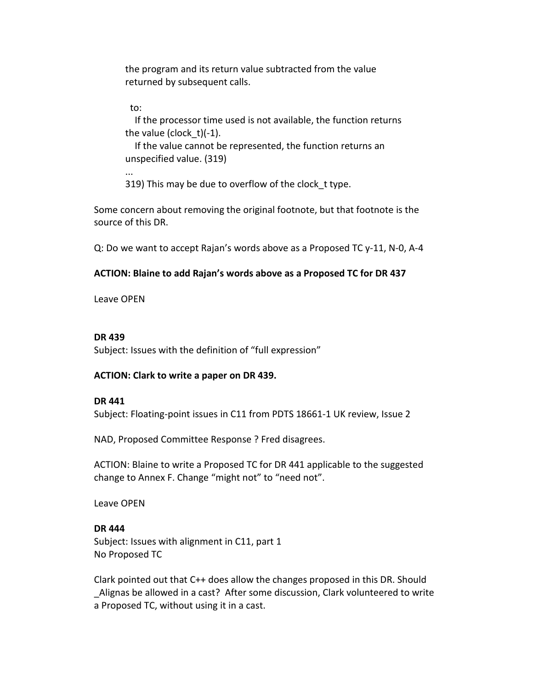the program and its return value subtracted from the value returned by subsequent calls.

to:

...

 If the processor time used is not available, the function returns the value (clock  $t$ )(-1).

 If the value cannot be represented, the function returns an unspecified value. (319)

319) This may be due to overflow of the clock t type.

Some concern about removing the original footnote, but that footnote is the source of this DR.

Q: Do we want to accept Rajan's words above as a Proposed TC y-11, N-0, A-4

## **ACTION: Blaine to add Rajan's words above as a Proposed TC for DR 437**

Leave OPEN

## **DR 439**

Subject: Issues with the definition of "full expression"

## **ACTION: Clark to write a paper on DR 439.**

## **DR 441**

Subject: Floating-point issues in C11 from PDTS 18661-1 UK review, Issue 2

NAD, Proposed Committee Response ? Fred disagrees.

ACTION: Blaine to write a Proposed TC for DR 441 applicable to the suggested change to Annex F. Change "might not" to "need not".

Leave OPEN

## **DR 444** Subject: Issues with alignment in C11, part 1 No Proposed TC

Clark pointed out that C++ does allow the changes proposed in this DR. Should Alignas be allowed in a cast? After some discussion, Clark volunteered to write a Proposed TC, without using it in a cast.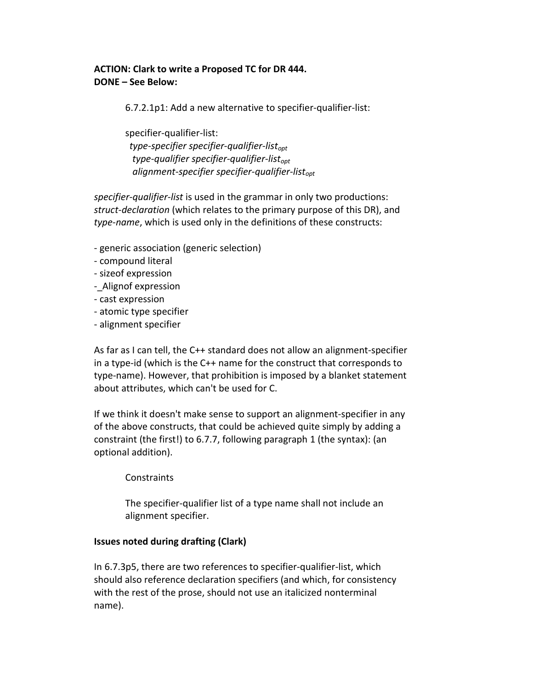## **ACTION: Clark to write a Proposed TC for DR 444. DONE – See Below:**

6.7.2.1p1: Add a new alternative to specifier-qualifier-list:

specifier-qualifier-list: *type-specifier specifier-qualifier-listopt type-qualifier specifier-qualifier-listopt alignment-specifier specifier-qualifier-listopt*

*specifier-qualifier-list* is used in the grammar in only two productions: *struct-declaration* (which relates to the primary purpose of this DR), and *type-name*, which is used only in the definitions of these constructs:

- generic association (generic selection)
- compound literal
- sizeof expression
- Alignof expression
- cast expression
- atomic type specifier
- alignment specifier

As far as I can tell, the C++ standard does not allow an alignment-specifier in a type-id (which is the C++ name for the construct that corresponds to type-name). However, that prohibition is imposed by a blanket statement about attributes, which can't be used for C.

If we think it doesn't make sense to support an alignment-specifier in any of the above constructs, that could be achieved quite simply by adding a constraint (the first!) to 6.7.7, following paragraph 1 (the syntax): (an optional addition).

## **Constraints**

The specifier-qualifier list of a type name shall not include an alignment specifier.

## **Issues noted during drafting (Clark)**

In 6.7.3p5, there are two references to specifier-qualifier-list, which should also reference declaration specifiers (and which, for consistency with the rest of the prose, should not use an italicized nonterminal name).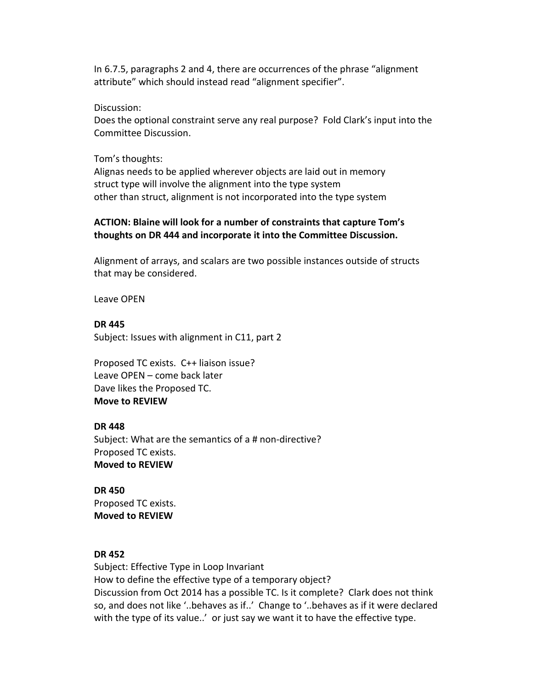In 6.7.5, paragraphs 2 and 4, there are occurrences of the phrase "alignment attribute" which should instead read "alignment specifier".

Discussion:

Does the optional constraint serve any real purpose? Fold Clark's input into the Committee Discussion.

Tom's thoughts:

Alignas needs to be applied wherever objects are laid out in memory struct type will involve the alignment into the type system other than struct, alignment is not incorporated into the type system

## **ACTION: Blaine will look for a number of constraints that capture Tom's thoughts on DR 444 and incorporate it into the Committee Discussion.**

Alignment of arrays, and scalars are two possible instances outside of structs that may be considered.

Leave OPEN

**DR 445** Subject: Issues with alignment in C11, part 2

Proposed TC exists. C++ liaison issue? Leave OPEN – come back later Dave likes the Proposed TC. **Move to REVIEW**

## **DR 448**

Subject: What are the semantics of a # non-directive? Proposed TC exists. **Moved to REVIEW**

**DR 450** Proposed TC exists. **Moved to REVIEW**

## **DR 452**

Subject: Effective Type in Loop Invariant How to define the effective type of a temporary object? Discussion from Oct 2014 has a possible TC. Is it complete? Clark does not think so, and does not like '..behaves as if..' Change to '..behaves as if it were declared with the type of its value..' or just say we want it to have the effective type.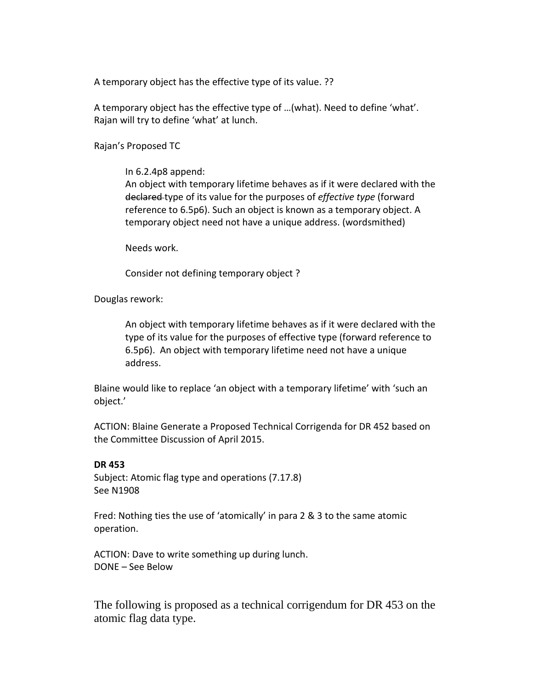A temporary object has the effective type of its value. ??

A temporary object has the effective type of …(what). Need to define 'what'. Rajan will try to define 'what' at lunch.

Rajan's Proposed TC

In 6.2.4p8 append:

An object with temporary lifetime behaves as if it were declared with the declared type of its value for the purposes of *effective type* (forward reference to 6.5p6). Such an object is known as a temporary object. A temporary object need not have a unique address. (wordsmithed)

Needs work.

Consider not defining temporary object ?

Douglas rework:

An object with temporary lifetime behaves as if it were declared with the type of its value for the purposes of effective type (forward reference to 6.5p6). An object with temporary lifetime need not have a unique address.

Blaine would like to replace 'an object with a temporary lifetime' with 'such an object.'

ACTION: Blaine Generate a Proposed Technical Corrigenda for DR 452 based on the Committee Discussion of April 2015.

#### **DR 453**

Subject: Atomic flag type and operations (7.17.8) See N1908

Fred: Nothing ties the use of 'atomically' in para 2 & 3 to the same atomic operation.

ACTION: Dave to write something up during lunch. DONE – See Below

The following is proposed as a technical corrigendum for DR 453 on the atomic flag data type.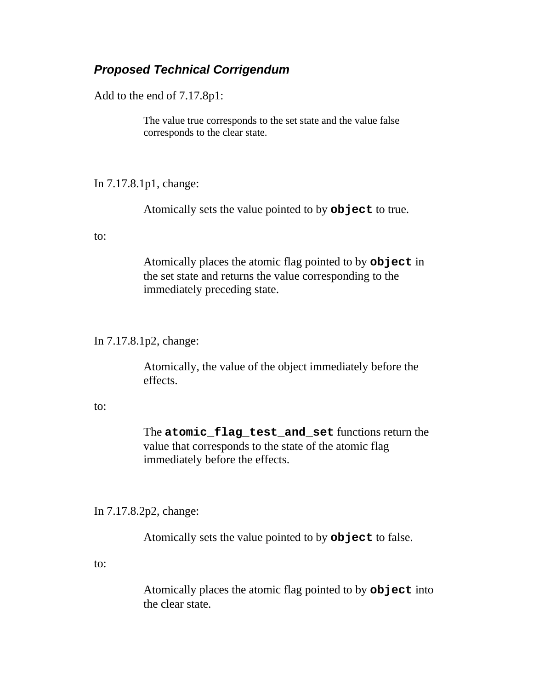# *Proposed Technical Corrigendum*

Add to the end of 7.17.8p1:

The value true corresponds to the set state and the value false corresponds to the clear state.

In 7.17.8.1p1, change:

Atomically sets the value pointed to by **object** to true.

to:

Atomically places the atomic flag pointed to by **object** in the set state and returns the value corresponding to the immediately preceding state.

## In 7.17.8.1p2, change:

Atomically, the value of the object immediately before the effects.

#### to:

The **atomic\_flag\_test\_and\_set** functions return the value that corresponds to the state of the atomic flag immediately before the effects.

## In 7.17.8.2p2, change:

Atomically sets the value pointed to by **object** to false.

to:

Atomically places the atomic flag pointed to by **object** into the clear state.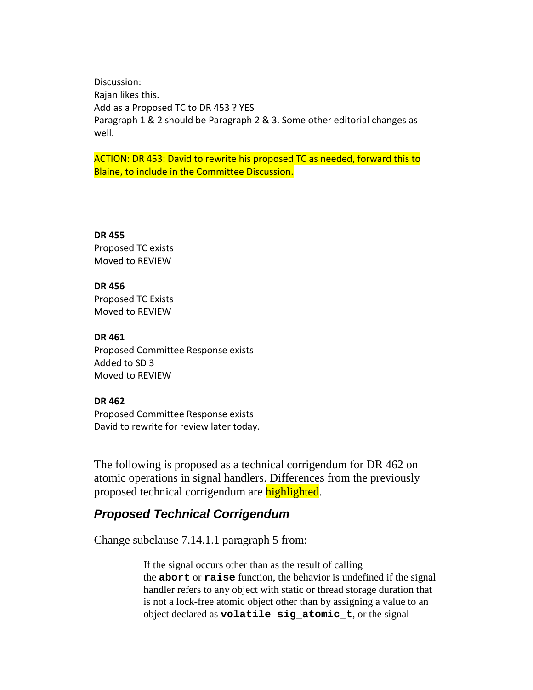Discussion: Rajan likes this. Add as a Proposed TC to DR 453 ? YES Paragraph 1 & 2 should be Paragraph 2 & 3. Some other editorial changes as well.

ACTION: DR 453: David to rewrite his proposed TC as needed, forward this to Blaine, to include in the Committee Discussion.

**DR 455**

Proposed TC exists Moved to REVIEW

**DR 456**

Proposed TC Exists Moved to REVIEW

**DR 461**

Proposed Committee Response exists Added to SD 3 Moved to REVIEW

## **DR 462**

Proposed Committee Response exists David to rewrite for review later today.

The following is proposed as a technical corrigendum for DR 462 on atomic operations in signal handlers. Differences from the previously proposed technical corrigendum are **highlighted**.

# *Proposed Technical Corrigendum*

Change subclause 7.14.1.1 paragraph 5 from:

If the signal occurs other than as the result of calling the **abort** or **raise** function, the behavior is undefined if the signal handler refers to any object with static or thread storage duration that is not a lock-free atomic object other than by assigning a value to an object declared as **volatile sig\_atomic\_t**, or the signal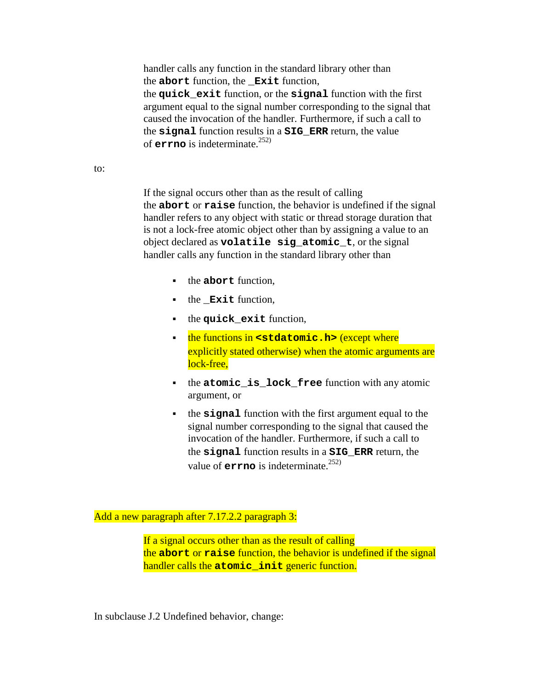handler calls any function in the standard library other than the **abort** function, the **\_Exit** function, the **quick\_exit** function, or the **signal** function with the first argument equal to the signal number corresponding to the signal that caused the invocation of the handler. Furthermore, if such a call to the **signal** function results in a **SIG\_ERR** return, the value of **errno** is indeterminate.<sup>252)</sup>

to:

If the signal occurs other than as the result of calling the **abort** or **raise** function, the behavior is undefined if the signal handler refers to any object with static or thread storage duration that is not a lock-free atomic object other than by assigning a value to an object declared as **volatile sig\_atomic\_t**, or the signal handler calls any function in the standard library other than

- the **abort** function,
- **the Exit function,**
- $\bullet$  the **quick** exit function,
- **the functions in <stdatomic.h>** (except where explicitly stated otherwise) when the atomic arguments are lock-free,
- the **atomic\_is\_lock\_free** function with any atomic argument, or
- the **signal** function with the first argument equal to the signal number corresponding to the signal that caused the invocation of the handler. Furthermore, if such a call to the **signal** function results in a **SIG\_ERR** return, the value of  $errno$  is indeterminate.<sup>252)</sup>

Add a new paragraph after 7.17.2.2 paragraph 3:

If a signal occurs other than as the result of calling the **abort** or **raise** function, the behavior is undefined if the signal handler calls the **atomic** init generic function.

In subclause J.2 Undefined behavior, change: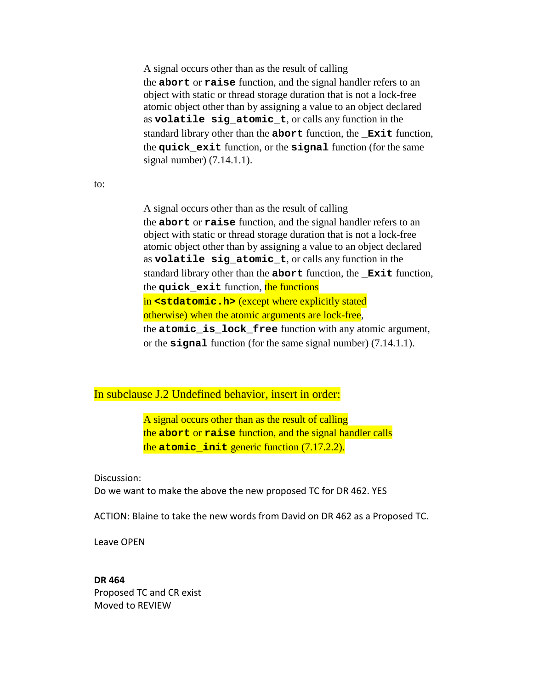A signal occurs other than as the result of calling the **abort** or **raise** function, and the signal handler refers to an object with static or thread storage duration that is not a lock-free atomic object other than by assigning a value to an object declared as **volatile sig\_atomic\_t**, or calls any function in the standard library other than the **abort** function, the **\_Exit** function, the **quick\_exit** function, or the **signal** function (for the same signal number) (7.14.1.1).

to:

A signal occurs other than as the result of calling the **abort** or **raise** function, and the signal handler refers to an object with static or thread storage duration that is not a lock-free atomic object other than by assigning a value to an object declared as **volatile sig\_atomic\_t**, or calls any function in the standard library other than the **abort** function, the **\_Exit** function, the **quick\_exit** function, the functions in **<stdatomic.h>** (except where explicitly stated otherwise) when the atomic arguments are lock-free, the **atomic\_is\_lock\_free** function with any atomic argument, or the **signal** function (for the same signal number) (7.14.1.1).

#### In subclause J.2 Undefined behavior, insert in order:

A signal occurs other than as the result of calling the **abort** or **raise** function, and the signal handler calls the **atomic\_init** generic function (7.17.2.2).

Discussion: Do we want to make the above the new proposed TC for DR 462. YES

ACTION: Blaine to take the new words from David on DR 462 as a Proposed TC.

Leave OPEN

**DR 464** Proposed TC and CR exist Moved to REVIEW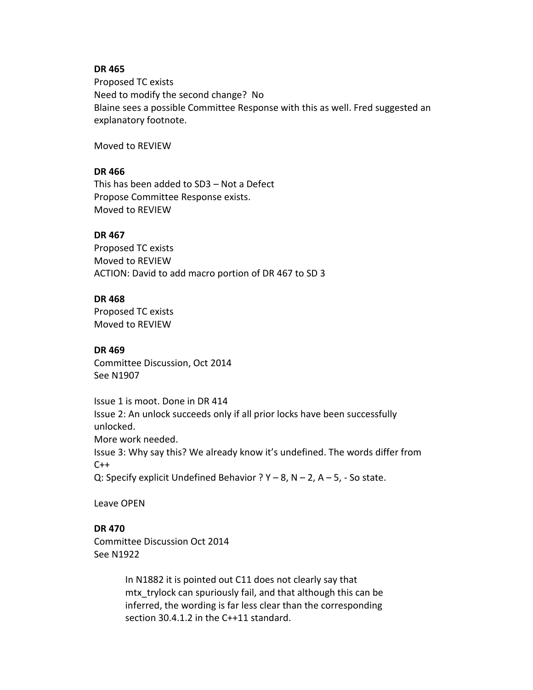#### **DR 465**

Proposed TC exists Need to modify the second change? No Blaine sees a possible Committee Response with this as well. Fred suggested an explanatory footnote.

Moved to REVIEW

## **DR 466**

This has been added to SD3 – Not a Defect Propose Committee Response exists. Moved to REVIEW

### **DR 467**

Proposed TC exists Moved to REVIEW ACTION: David to add macro portion of DR 467 to SD 3

### **DR 468**

Proposed TC exists Moved to REVIEW

#### **DR 469**

Committee Discussion, Oct 2014 See N1907

Issue 1 is moot. Done in DR 414 Issue 2: An unlock succeeds only if all prior locks have been successfully unlocked. More work needed. Issue 3: Why say this? We already know it's undefined. The words differ from  $C++$ Q: Specify explicit Undefined Behavior ?  $Y - 8$ ,  $N - 2$ ,  $A - 5$ , - So state.

Leave OPEN

## **DR 470**

Committee Discussion Oct 2014 See N1922

> In N1882 it is pointed out C11 does not clearly say that mtx trylock can spuriously fail, and that although this can be inferred, the wording is far less clear than the corresponding section 30.4.1.2 in the C++11 standard.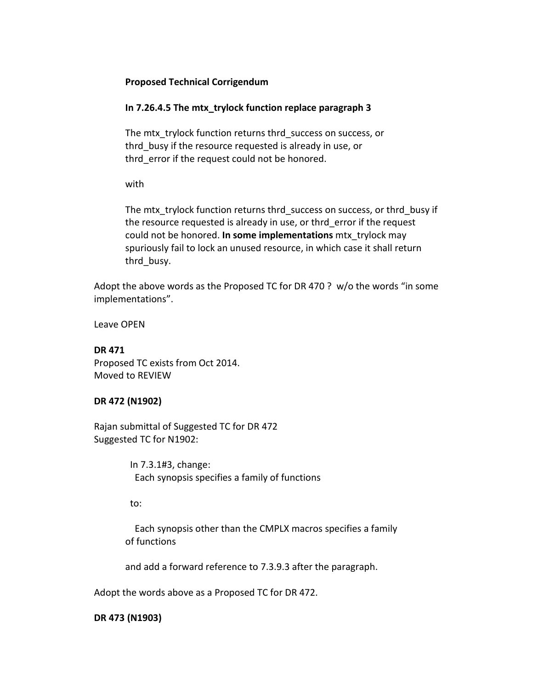### **Proposed Technical Corrigendum**

## **In 7.26.4.5 The mtx\_trylock function replace paragraph 3**

The mtx trylock function returns thrd success on success, or thrd busy if the resource requested is already in use, or thrd error if the request could not be honored.

with

The mtx trylock function returns thrd success on success, or thrd busy if the resource requested is already in use, or thrd\_error if the request could not be honored. **In some implementations** mtx\_trylock may spuriously fail to lock an unused resource, in which case it shall return thrd busy.

Adopt the above words as the Proposed TC for DR 470 ? w/o the words "in some implementations".

Leave OPEN

### **DR 471**

Proposed TC exists from Oct 2014. Moved to REVIEW

## **DR 472 (N1902)**

Rajan submittal of Suggested TC for DR 472 Suggested TC for N1902:

> In 7.3.1#3, change: Each synopsis specifies a family of functions

to:

 Each synopsis other than the CMPLX macros specifies a family of functions

and add a forward reference to 7.3.9.3 after the paragraph.

Adopt the words above as a Proposed TC for DR 472.

**DR 473 (N1903)**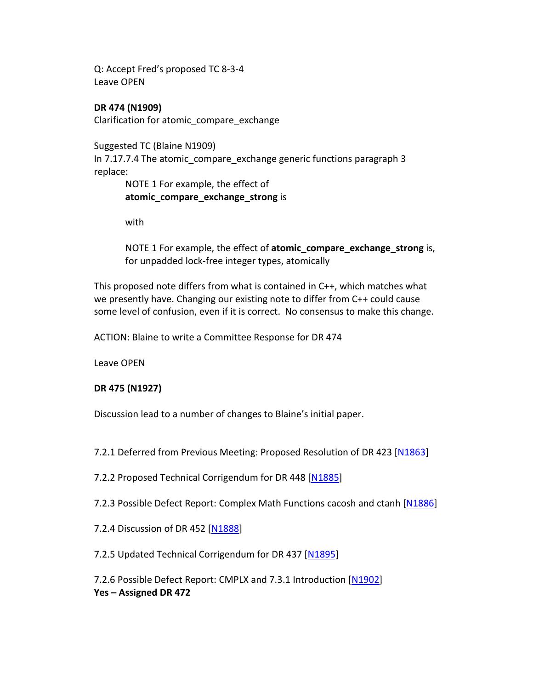Q: Accept Fred's proposed TC 8-3-4 Leave OPEN

**DR 474 (N1909)** Clarification for atomic\_compare\_exchange

Suggested TC (Blaine N1909) In 7.17.7.4 The atomic compare exchange generic functions paragraph 3 replace:

NOTE 1 For example, the effect of **atomic\_compare\_exchange\_strong** is

with

NOTE 1 For example, the effect of **atomic\_compare\_exchange\_strong** is, for unpadded lock-free integer types, atomically

This proposed note differs from what is contained in C++, which matches what we presently have. Changing our existing note to differ from C++ could cause some level of confusion, even if it is correct. No consensus to make this change.

ACTION: Blaine to write a Committee Response for DR 474

Leave OPEN

## **DR 475 (N1927)**

Discussion lead to a number of changes to Blaine's initial paper.

7.2.1 Deferred from Previous Meeting: Proposed Resolution of DR 423 [\[N1863\]](http://www.open-std.org/jtc1/sc22/wg14/www/docs/n1863.pdf)

7.2.2 Proposed Technical Corrigendum for DR 448 [\[N1885\]](http://www.open-std.org/jtc1/sc22/wg14/www/docs/n1885.htm)

7.2.3 Possible Defect Report: Complex Math Functions cacosh and ctanh [\[N1886\]](http://www.open-std.org/jtc1/sc22/wg14/www/docs/n1886.htm)

7.2.4 Discussion of DR 452 [\[N1888\]](http://www.open-std.org/jtc1/sc22/wg14/www/docs/n1888.pdf)

7.2.5 Updated Technical Corrigendum for DR 437 [\[N1895\]](http://www.open-std.org/jtc1/sc22/wg14/www/docs/n1895.htm)

7.2.6 Possible Defect Report: CMPLX and 7.3.1 Introduction [\[N1902\]](http://www.open-std.org/jtc1/sc22/wg14/www/docs/n1902.htm) **Yes – Assigned DR 472**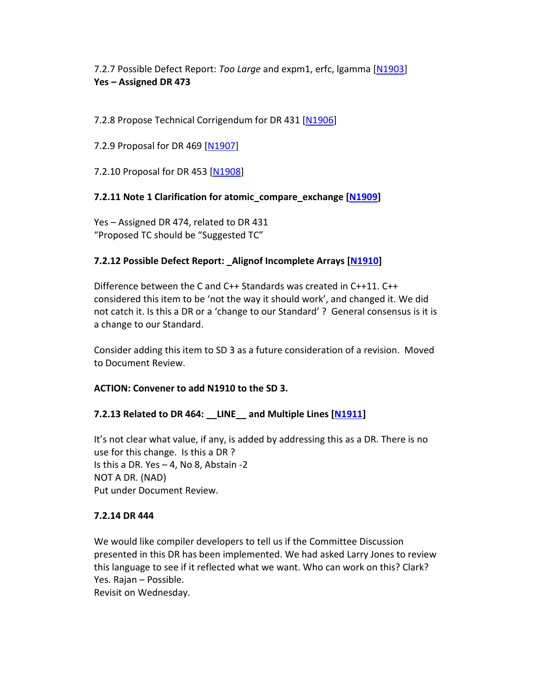7.2.7 Possible Defect Report: *Too Large* and expm1, erfc, lgamma [\[N1903\]](http://www.open-std.org/jtc1/sc22/wg14/www/docs/n1903.htm) **Yes – Assigned DR 473**

7.2.8 Propose Technical Corrigendum for DR 431 [\[N1906\]](http://www.open-std.org/jtc1/sc22/wg14/www/docs/n1906.htm)

7.2.9 Proposal for DR 469 [\[N1907\]](http://www.open-std.org/jtc1/sc22/wg14/www/docs/n1907.pdf)

7.2.10 Proposal for DR 453 [\[N1908\]](http://www.open-std.org/jtc1/sc22/wg14/www/docs/n1908.pdf)

## **7.2.11 Note 1 Clarification for atomic\_compare\_exchange [\[N1909\]](http://www.open-std.org/jtc1/sc22/wg14/www/docs/n1909.pdf)**

Yes – Assigned DR 474, related to DR 431 "Proposed TC should be "Suggested TC"

## **7.2.12 Possible Defect Report: \_Alignof Incomplete Arrays [\[N1910\]](http://www.open-std.org/jtc1/sc22/wg14/www/docs/n1910.htm)**

Difference between the C and C++ Standards was created in C++11. C++ considered this item to be 'not the way it should work', and changed it. We did not catch it. Is this a DR or a 'change to our Standard' ? General consensus is it is a change to our Standard.

Consider adding this item to SD 3 as a future consideration of a revision. Moved to Document Review.

## **ACTION: Convener to add N1910 to the SD 3.**

# **7.2.13 Related to DR 464: \_\_LINE\_\_ and Multiple Lines [\[N1911\]](http://www.open-std.org/jtc1/sc22/wg14/www/docs/n1911.htm)**

It's not clear what value, if any, is added by addressing this as a DR. There is no use for this change. Is this a DR ? Is this a DR. Yes – 4, No 8, Abstain -2 NOT A DR. (NAD) Put under Document Review.

## **7.2.14 DR 444**

We would like compiler developers to tell us if the Committee Discussion presented in this DR has been implemented. We had asked Larry Jones to review this language to see if it reflected what we want. Who can work on this? Clark? Yes. Rajan – Possible.

Revisit on Wednesday.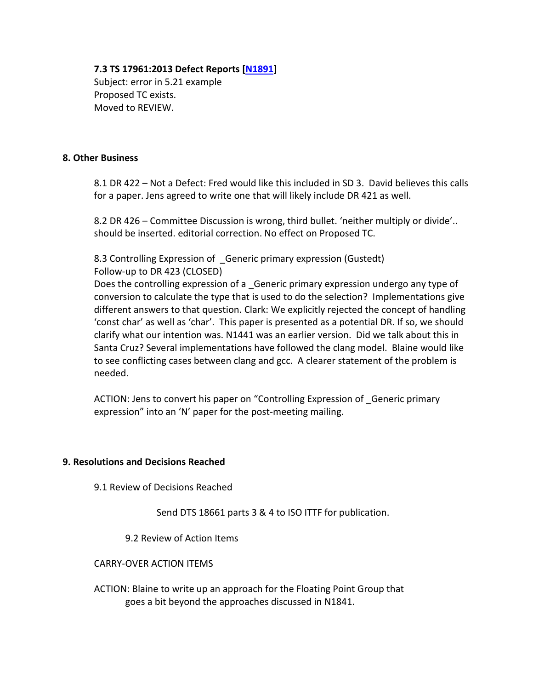### **7.3 TS 17961:2013 Defect Reports [\[N1891\]](http://www.open-std.org/jtc1/sc22/wg14/www/docs/n1891.htm)**

Subject: error in 5.21 example Proposed TC exists. Moved to REVIEW.

## **8. Other Business**

8.1 DR 422 – Not a Defect: Fred would like this included in SD 3. David believes this calls for a paper. Jens agreed to write one that will likely include DR 421 as well.

8.2 DR 426 – Committee Discussion is wrong, third bullet. 'neither multiply or divide'.. should be inserted. editorial correction. No effect on Proposed TC.

8.3 Controlling Expression of \_Generic primary expression (Gustedt) Follow-up to DR 423 (CLOSED)

Does the controlling expression of a \_Generic primary expression undergo any type of conversion to calculate the type that is used to do the selection? Implementations give different answers to that question. Clark: We explicitly rejected the concept of handling 'const char' as well as 'char'. This paper is presented as a potential DR. If so, we should clarify what our intention was. N1441 was an earlier version. Did we talk about this in Santa Cruz? Several implementations have followed the clang model. Blaine would like to see conflicting cases between clang and gcc. A clearer statement of the problem is needed.

ACTION: Jens to convert his paper on "Controlling Expression of \_Generic primary expression" into an 'N' paper for the post-meeting mailing.

## **9. Resolutions and Decisions Reached**

9.1 Review of Decisions Reached

Send DTS 18661 parts 3 & 4 to ISO ITTF for publication.

9.2 Review of Action Items

#### CARRY-OVER ACTION ITEMS

ACTION: Blaine to write up an approach for the Floating Point Group that goes a bit beyond the approaches discussed in N1841.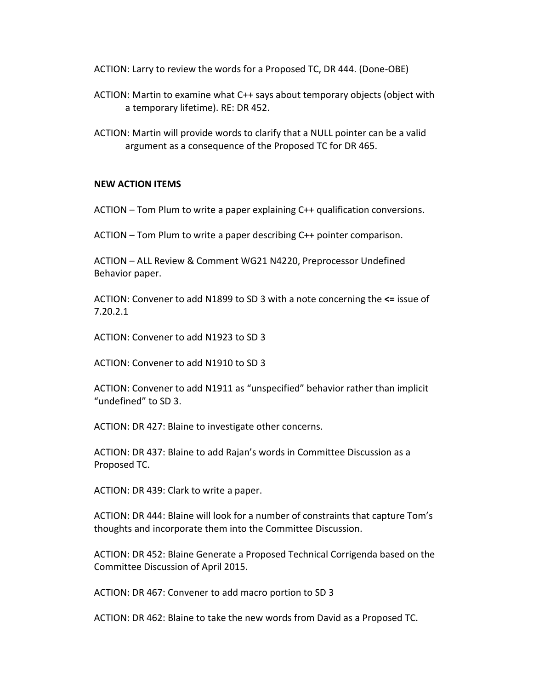ACTION: Larry to review the words for a Proposed TC, DR 444. (Done-OBE)

- ACTION: Martin to examine what C++ says about temporary objects (object with a temporary lifetime). RE: DR 452.
- ACTION: Martin will provide words to clarify that a NULL pointer can be a valid argument as a consequence of the Proposed TC for DR 465.

## **NEW ACTION ITEMS**

ACTION – Tom Plum to write a paper explaining C++ qualification conversions.

ACTION – Tom Plum to write a paper describing C++ pointer comparison.

ACTION – ALL Review & Comment WG21 N4220, Preprocessor Undefined Behavior paper.

ACTION: Convener to add N1899 to SD 3 with a note concerning the **<=** issue of 7.20.2.1

ACTION: Convener to add N1923 to SD 3

ACTION: Convener to add N1910 to SD 3

ACTION: Convener to add N1911 as "unspecified" behavior rather than implicit "undefined" to SD 3.

ACTION: DR 427: Blaine to investigate other concerns.

ACTION: DR 437: Blaine to add Rajan's words in Committee Discussion as a Proposed TC.

ACTION: DR 439: Clark to write a paper.

ACTION: DR 444: Blaine will look for a number of constraints that capture Tom's thoughts and incorporate them into the Committee Discussion.

ACTION: DR 452: Blaine Generate a Proposed Technical Corrigenda based on the Committee Discussion of April 2015.

ACTION: DR 467: Convener to add macro portion to SD 3

ACTION: DR 462: Blaine to take the new words from David as a Proposed TC.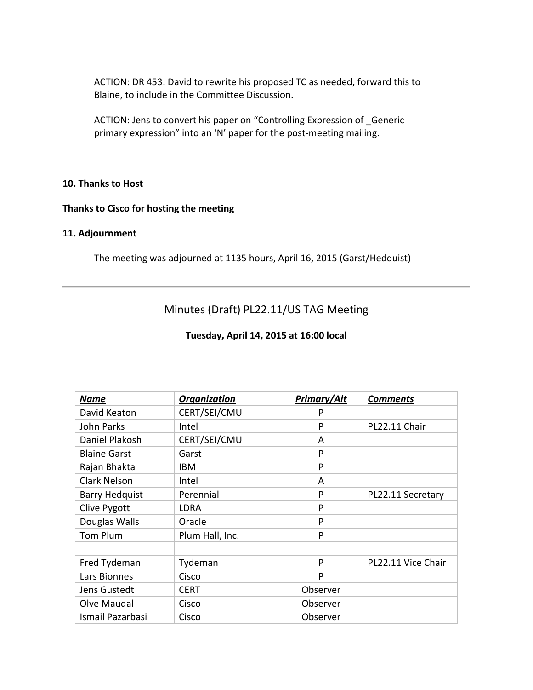ACTION: DR 453: David to rewrite his proposed TC as needed, forward this to Blaine, to include in the Committee Discussion.

ACTION: Jens to convert his paper on "Controlling Expression of \_Generic primary expression" into an 'N' paper for the post-meeting mailing.

## **10. Thanks to Host**

## **Thanks to Cisco for hosting the meeting**

#### **11. Adjournment**

The meeting was adjourned at 1135 hours, April 16, 2015 (Garst/Hedquist)

# Minutes (Draft) PL22.11/US TAG Meeting

### **Tuesday, April 14, 2015 at 16:00 local**

| <b>Name</b>           | Organization    | <b>Primary/Alt</b> | <b>Comments</b>    |
|-----------------------|-----------------|--------------------|--------------------|
| David Keaton          | CERT/SEI/CMU    | P                  |                    |
| John Parks            | Intel           | P                  | PL22.11 Chair      |
| Daniel Plakosh        | CERT/SEI/CMU    | A                  |                    |
| <b>Blaine Garst</b>   | Garst           | P                  |                    |
| Rajan Bhakta          | IBM             | P                  |                    |
| <b>Clark Nelson</b>   | Intel           | A                  |                    |
| <b>Barry Hedquist</b> | Perennial       | P                  | PL22.11 Secretary  |
| Clive Pygott          | <b>LDRA</b>     | P                  |                    |
| Douglas Walls         | Oracle          | P                  |                    |
| Tom Plum              | Plum Hall, Inc. | P                  |                    |
|                       |                 |                    |                    |
| Fred Tydeman          | Tydeman         | P                  | PL22.11 Vice Chair |
| Lars Bionnes          | Cisco           | P                  |                    |
| Jens Gustedt          | <b>CERT</b>     | Observer           |                    |
| Olve Maudal           | Cisco           | Observer           |                    |
| Ismail Pazarbasi      | Cisco           | Observer           |                    |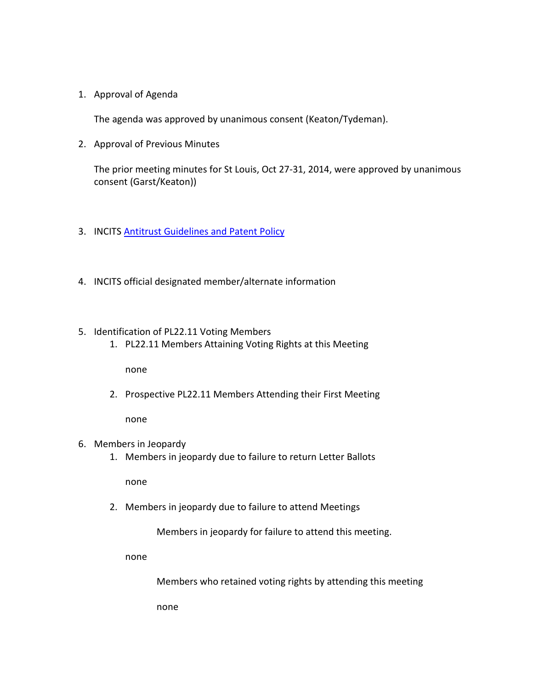1. Approval of Agenda

The agenda was approved by unanimous consent (Keaton/Tydeman).

2. Approval of Previous Minutes

The prior meeting minutes for St Louis, Oct 27-31, 2014, were approved by unanimous consent (Garst/Keaton))

- 3. INCITS **Antitrust Guidelines and Patent Policy**
- 4. INCITS official designated member/alternate information
- 5. Identification of PL22.11 Voting Members
	- 1. PL22.11 Members Attaining Voting Rights at this Meeting

none

2. Prospective PL22.11 Members Attending their First Meeting

none

- 6. Members in Jeopardy
	- 1. Members in jeopardy due to failure to return Letter Ballots

none

2. Members in jeopardy due to failure to attend Meetings

Members in jeopardy for failure to attend this meeting.

none

Members who retained voting rights by attending this meeting

none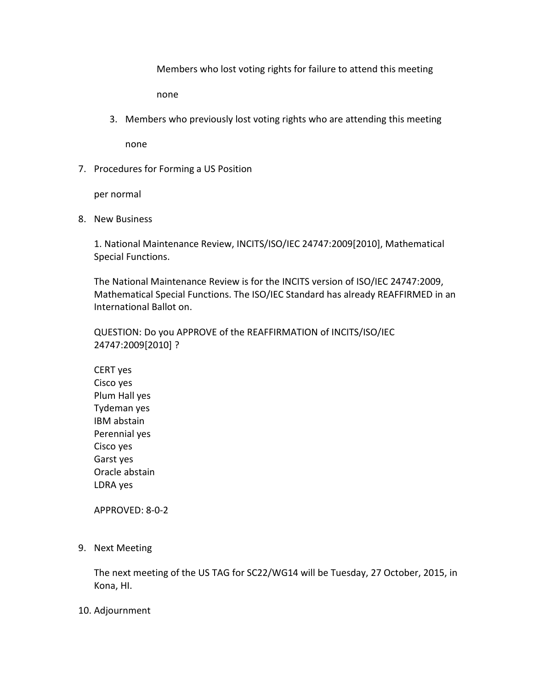Members who lost voting rights for failure to attend this meeting

none

3. Members who previously lost voting rights who are attending this meeting

none

7. Procedures for Forming a US Position

per normal

8. New Business

1. National Maintenance Review, INCITS/ISO/IEC 24747:2009[2010], Mathematical Special Functions.

The National Maintenance Review is for the INCITS version of ISO/IEC 24747:2009, Mathematical Special Functions. The ISO/IEC Standard has already REAFFIRMED in an International Ballot on.

QUESTION: Do you APPROVE of the REAFFIRMATION of INCITS/ISO/IEC 24747:2009[2010] ?

CERT yes Cisco yes Plum Hall yes Tydeman yes IBM abstain Perennial yes Cisco yes Garst yes Oracle abstain LDRA yes

APPROVED: 8-0-2

9. Next Meeting

The next meeting of the US TAG for SC22/WG14 will be Tuesday, 27 October, 2015, in Kona, HI.

## 10. Adjournment